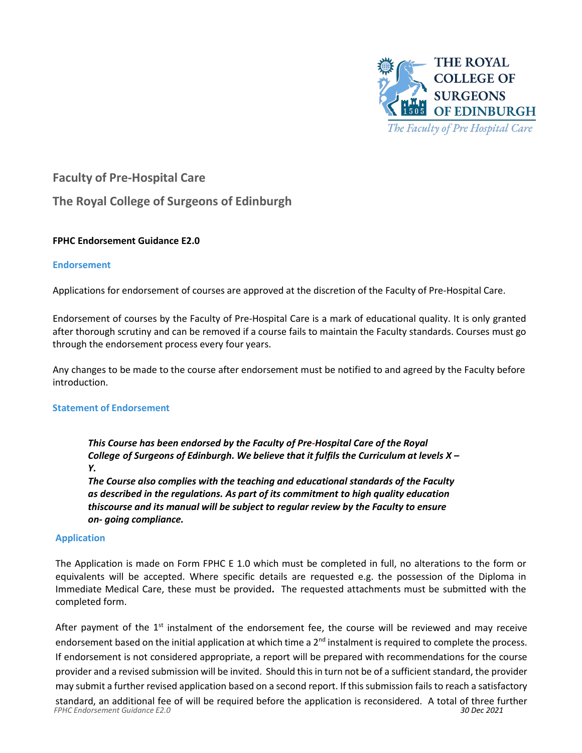

# **Faculty of Pre-Hospital Care**

# **The Royal College of Surgeons of Edinburgh**

## **FPHC Endorsement Guidance E2.0**

## **Endorsement**

Applications for endorsement of courses are approved at the discretion of the Faculty of Pre-Hospital Care.

Endorsement of courses by the Faculty of Pre-Hospital Care is a mark of educational quality. It is only granted after thorough scrutiny and can be removed if a course fails to maintain the Faculty standards. Courses must go through the endorsement process every four years.

Any changes to be made to the course after endorsement must be notified to and agreed by the Faculty before introduction.

## **Statement of Endorsement**

*This Course has been endorsed by the Faculty of Pre-Hospital Care of the Royal College of Surgeons of Edinburgh. We believe that it fulfils the Curriculum at levels X – Y.* 

*The Course also complies with the teaching and educational standards of the Faculty as described in the regulations. As part of its commitment to high quality education thiscourse and its manual will be subject to regular review by the Faculty to ensure on- going compliance.*

#### **Application**

The Application is made on Form FPHC E 1.0 which must be completed in full, no alterations to the form or equivalents will be accepted. Where specific details are requested e.g. the possession of the Diploma in Immediate Medical Care, these must be provided**.** The requested attachments must be submitted with the completed form.

After payment of the  $1<sup>st</sup>$  instalment of the endorsement fee, the course will be reviewed and may receive endorsement based on the initial application at which time a  $2^{nd}$  instalment is required to complete the process. If endorsement is not considered appropriate, a report will be prepared with recommendations for the course provider and a revised submission will be invited. Should this in turn not be of a sufficient standard, the provider may submit a further revised application based on a second report. If this submission fails to reach a satisfactory

*FPHC Endorsement Guidance E2.0 30 Dec 2021* standard, an additional fee of will be required before the application is reconsidered. A total of three further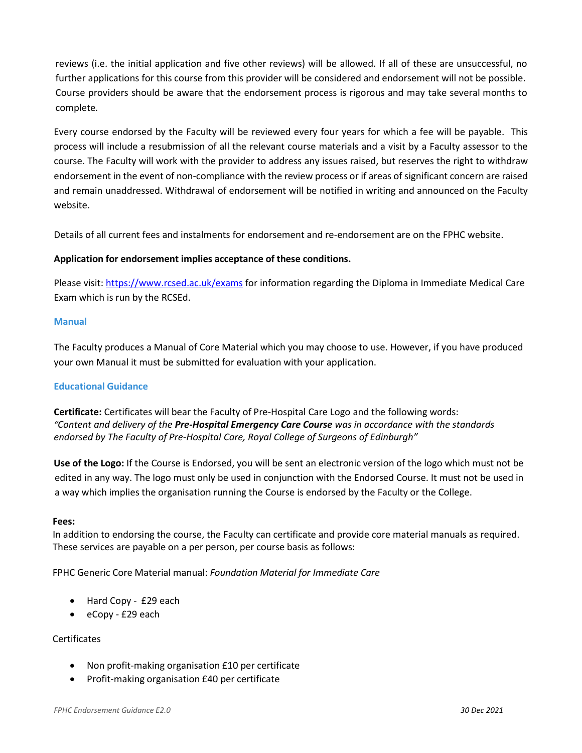reviews (i.e. the initial application and five other reviews) will be allowed. If all of these are unsuccessful, no further applications for this course from this provider will be considered and endorsement will not be possible. Course providers should be aware that the endorsement process is rigorous and may take several months to complete*.*

Every course endorsed by the Faculty will be reviewed every four years for which a fee will be payable. This process will include a resubmission of all the relevant course materials and a visit by a Faculty assessor to the course. The Faculty will work with the provider to address any issues raised, but reserves the right to withdraw endorsement in the event of non-compliance with the review process or if areas of significant concern are raised and remain unaddressed. Withdrawal of endorsement will be notified in writing and announced on the Faculty website.

Details of all current fees and instalments for endorsement and re-endorsement are on the FPHC website.

## **Application for endorsement implies acceptance of these conditions.**

Please visit: [https://www.rcsed.ac.uk/exams](about:blank) for information regarding the Diploma in Immediate Medical Care Exam which is run by the RCSEd.

## **Manual**

The Faculty produces a Manual of Core Material which you may choose to use. However, if you have produced your own Manual it must be submitted for evaluation with your application.

## **Educational Guidance**

**Certificate:** Certificates will bear the Faculty of Pre-Hospital Care Logo and the following words: *"Content and delivery of the Pre-Hospital Emergency Care Course was in accordance with the standards endorsed by The Faculty of Pre-Hospital Care, Royal College of Surgeons of Edinburgh"*

**Use of the Logo:** If the Course is Endorsed, you will be sent an electronic version of the logo which must not be edited in any way. The logo must only be used in conjunction with the Endorsed Course. It must not be used in a way which implies the organisation running the Course is endorsed by the Faculty or the College.

#### **Fees:**

In addition to endorsing the course, the Faculty can certificate and provide core material manuals as required. These services are payable on a per person, per course basis as follows:

FPHC Generic Core Material manual: *Foundation Material for Immediate Care*

- Hard Copy £29 each
- eCopy £29 each

## **Certificates**

- Non profit-making organisation £10 per certificate
- Profit-making organisation £40 per certificate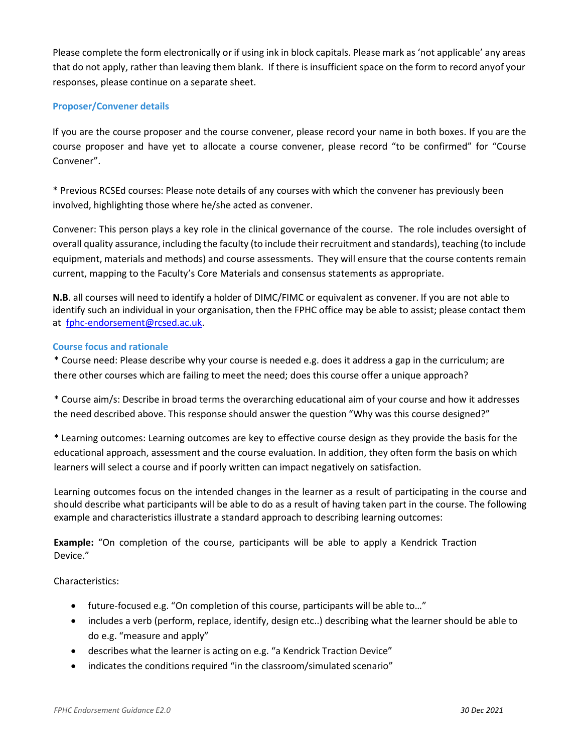Please complete the form electronically or if using ink in block capitals. Please mark as 'not applicable' any areas that do not apply, rather than leaving them blank. If there is insufficient space on the form to record anyof your responses, please continue on a separate sheet.

#### **Proposer/Convener details**

If you are the course proposer and the course convener, please record your name in both boxes. If you are the course proposer and have yet to allocate a course convener, please record "to be confirmed" for "Course Convener".

\* Previous RCSEd courses: Please note details of any courses with which the convener has previously been involved, highlighting those where he/she acted as convener.

Convener: This person plays a key role in the clinical governance of the course. The role includes oversight of overall quality assurance, including the faculty (to include their recruitment and standards), teaching (to include equipment, materials and methods) and course assessments. They will ensure that the course contents remain current, mapping to the Faculty's Core Materials and consensus statements as appropriate.

**N.B**. all courses will need to identify a holder of DIMC/FIMC or equivalent as convener. If you are not able to identify such an individual in your organisation, then the FPHC office may be able to assist; please contact them at [fphc-endorsement@rcsed.ac.uk.](mailto:fphc-endorsement@rcsed.ac.uk)

#### **Course focus and rationale**

\* Course need: Please describe why your course is needed e.g. does it address a gap in the curriculum; are there other courses which are failing to meet the need; does this course offer a unique approach?

\* Course aim/s: Describe in broad terms the overarching educational aim of your course and how it addresses the need described above. This response should answer the question "Why was this course designed?"

\* Learning outcomes: Learning outcomes are key to effective course design as they provide the basis for the educational approach, assessment and the course evaluation. In addition, they often form the basis on which learners will select a course and if poorly written can impact negatively on satisfaction.

Learning outcomes focus on the intended changes in the learner as a result of participating in the course and should describe what participants will be able to do as a result of having taken part in the course. The following example and characteristics illustrate a standard approach to describing learning outcomes:

**Example:** "On completion of the course, participants will be able to apply a Kendrick Traction Device."

Characteristics:

- future-focused e.g. "On completion of this course, participants will be able to…"
- includes a verb (perform, replace, identify, design etc..) describing what the learner should be able to do e.g. "measure and apply"
- describes what the learner is acting on e.g. "a Kendrick Traction Device"
- indicates the conditions required "in the classroom/simulated scenario"